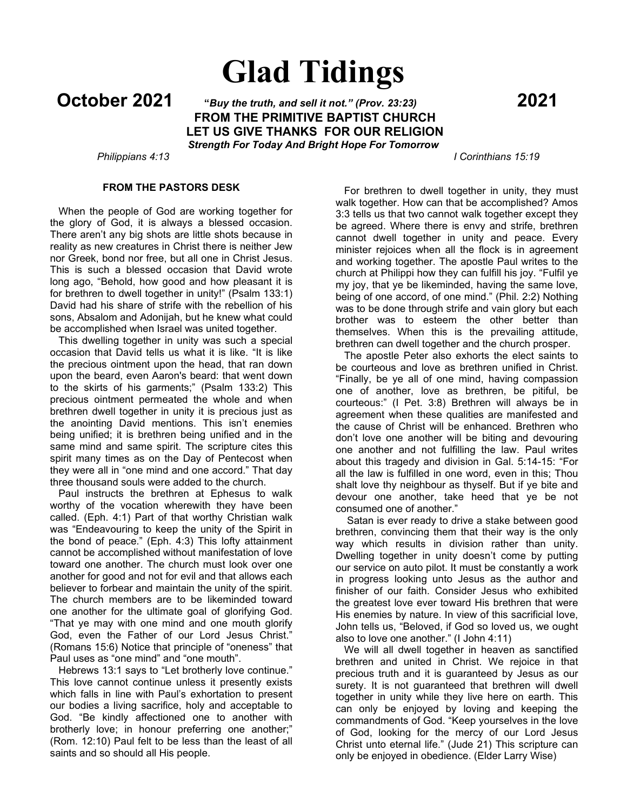# **Glad Tidings**

**October 2021 "***Buy the truth, and sell it not." (Prov. 23:23)* **<sup>2021</sup> FROM THE PRIMITIVE BAPTIST CHURCH LET US GIVE THANKS FOR OUR RELIGION** *Strength For Today And Bright Hope For Tomorrow*

### *Philippians 4:13 I Corinthians 15:19*

# **FROM THE PASTORS DESK**

 When the people of God are working together for the glory of God, it is always a blessed occasion. There aren't any big shots are little shots because in reality as new creatures in Christ there is neither Jew nor Greek, bond nor free, but all one in Christ Jesus. This is such a blessed occasion that David wrote long ago, "Behold, how good and how pleasant it is for brethren to dwell together in unity!" (Psalm 133:1) David had his share of strife with the rebellion of his sons, Absalom and Adonijah, but he knew what could be accomplished when Israel was united together.

 This dwelling together in unity was such a special occasion that David tells us what it is like. "It is like the precious ointment upon the head, that ran down upon the beard, even Aaron's beard: that went down to the skirts of his garments;" (Psalm 133:2) This precious ointment permeated the whole and when brethren dwell together in unity it is precious just as the anointing David mentions. This isn't enemies being unified; it is brethren being unified and in the same mind and same spirit. The scripture cites this spirit many times as on the Day of Pentecost when they were all in "one mind and one accord." That day three thousand souls were added to the church.

 Paul instructs the brethren at Ephesus to walk worthy of the vocation wherewith they have been called. (Eph. 4:1) Part of that worthy Christian walk was "Endeavouring to keep the unity of the Spirit in the bond of peace." (Eph. 4:3) This lofty attainment cannot be accomplished without manifestation of love toward one another. The church must look over one another for good and not for evil and that allows each believer to forbear and maintain the unity of the spirit. The church members are to be likeminded toward one another for the ultimate goal of glorifying God. "That ye may with one mind and one mouth glorify God, even the Father of our Lord Jesus Christ." (Romans 15:6) Notice that principle of "oneness" that Paul uses as "one mind" and "one mouth".

 Hebrews 13:1 says to "Let brotherly love continue." This love cannot continue unless it presently exists which falls in line with Paul's exhortation to present our bodies a living sacrifice, holy and acceptable to God. "Be kindly affectioned one to another with brotherly love; in honour preferring one another;" (Rom. 12:10) Paul felt to be less than the least of all saints and so should all His people.

 For brethren to dwell together in unity, they must walk together. How can that be accomplished? Amos 3:3 tells us that two cannot walk together except they be agreed. Where there is envy and strife, brethren cannot dwell together in unity and peace. Every minister rejoices when all the flock is in agreement and working together. The apostle Paul writes to the church at Philippi how they can fulfill his joy. "Fulfil ye my joy, that ye be likeminded, having the same love, being of one accord, of one mind." (Phil. 2:2) Nothing was to be done through strife and vain glory but each brother was to esteem the other better than themselves. When this is the prevailing attitude, brethren can dwell together and the church prosper.

 The apostle Peter also exhorts the elect saints to be courteous and love as brethren unified in Christ. "Finally, be ye all of one mind, having compassion one of another, love as brethren, be pitiful, be courteous:" (I Pet. 3:8) Brethren will always be in agreement when these qualities are manifested and the cause of Christ will be enhanced. Brethren who don't love one another will be biting and devouring one another and not fulfilling the law. Paul writes about this tragedy and division in Gal. 5:14-15: "For all the law is fulfilled in one word, even in this; Thou shalt love thy neighbour as thyself. But if ye bite and devour one another, take heed that ye be not consumed one of another."

 Satan is ever ready to drive a stake between good brethren, convincing them that their way is the only way which results in division rather than unity. Dwelling together in unity doesn't come by putting our service on auto pilot. It must be constantly a work in progress looking unto Jesus as the author and finisher of our faith. Consider Jesus who exhibited the greatest love ever toward His brethren that were His enemies by nature. In view of this sacrificial love, John tells us, "Beloved, if God so loved us, we ought also to love one another." (I John 4:11)

 We will all dwell together in heaven as sanctified brethren and united in Christ. We rejoice in that precious truth and it is guaranteed by Jesus as our surety. It is not guaranteed that brethren will dwell together in unity while they live here on earth. This can only be enjoyed by loving and keeping the commandments of God. "Keep yourselves in the love of God, looking for the mercy of our Lord Jesus Christ unto eternal life." (Jude 21) This scripture can only be enjoyed in obedience. (Elder Larry Wise)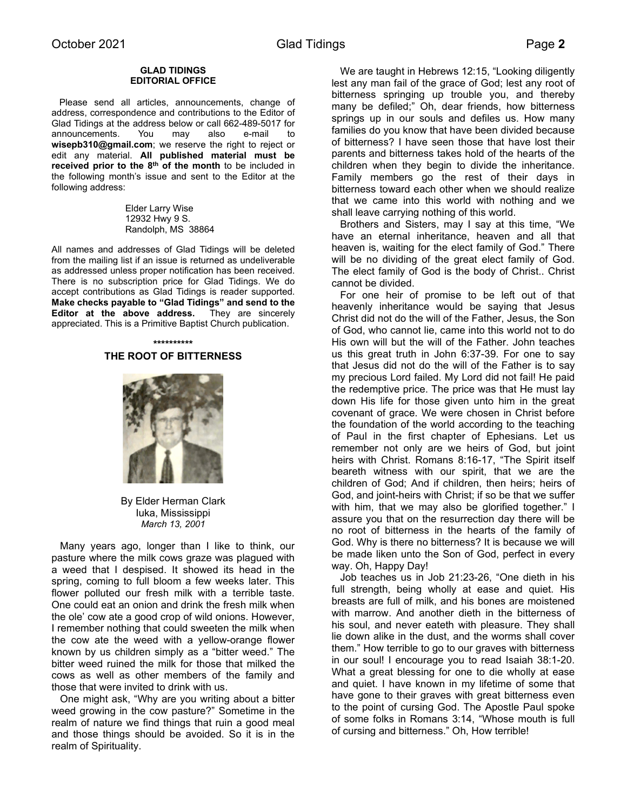### **GLAD TIDINGS EDITORIAL OFFICE**

 Please send all articles, announcements, change of address, correspondence and contributions to the Editor of Glad Tidings at the address below or call 662-489-5017 for announcements. You may also e-mail to **wisepb310@gmail.com**; we reserve the right to reject or edit any material. **All published material must be received prior to the 8th of the month** to be included in the following month's issue and sent to the Editor at the following address:

> Elder Larry Wise 12932 Hwy 9 S. Randolph, MS 38864

All names and addresses of Glad Tidings will be deleted from the mailing list if an issue is returned as undeliverable as addressed unless proper notification has been received. There is no subscription price for Glad Tidings. We do accept contributions as Glad Tidings is reader supported. **Make checks payable to "Glad Tidings" and send to the Editor at the above address.** They are sincerely appreciated. This is a Primitive Baptist Church publication.

### **\*\*\*\*\*\*\*\*\*\* THE ROOT OF BITTERNESS**



By Elder Herman Clark Iuka, Mississippi *March 13, 2001*

 Many years ago, longer than I like to think, our pasture where the milk cows graze was plagued with a weed that I despised. It showed its head in the spring, coming to full bloom a few weeks later. This flower polluted our fresh milk with a terrible taste. One could eat an onion and drink the fresh milk when the ole' cow ate a good crop of wild onions. However, I remember nothing that could sweeten the milk when the cow ate the weed with a yellow-orange flower known by us children simply as a "bitter weed." The bitter weed ruined the milk for those that milked the cows as well as other members of the family and those that were invited to drink with us.

 One might ask, "Why are you writing about a bitter weed growing in the cow pasture?" Sometime in the realm of nature we find things that ruin a good meal and those things should be avoided. So it is in the realm of Spirituality.

 We are taught in Hebrews 12:15, "Looking diligently lest any man fail of the grace of God; lest any root of bitterness springing up trouble you, and thereby many be defiled;" Oh, dear friends, how bitterness springs up in our souls and defiles us. How many families do you know that have been divided because of bitterness? I have seen those that have lost their parents and bitterness takes hold of the hearts of the children when they begin to divide the inheritance. Family members go the rest of their days in bitterness toward each other when we should realize that we came into this world with nothing and we shall leave carrying nothing of this world.

 Brothers and Sisters, may I say at this time, "We have an eternal inheritance, heaven and all that heaven is, waiting for the elect family of God." There will be no dividing of the great elect family of God. The elect family of God is the body of Christ.. Christ cannot be divided.

 For one heir of promise to be left out of that heavenly inheritance would be saying that Jesus Christ did not do the will of the Father, Jesus, the Son of God, who cannot lie, came into this world not to do His own will but the will of the Father. John teaches us this great truth in John 6:37-39. For one to say that Jesus did not do the will of the Father is to say my precious Lord failed. My Lord did not fail! He paid the redemptive price. The price was that He must lay down His life for those given unto him in the great covenant of grace. We were chosen in Christ before the foundation of the world according to the teaching of Paul in the first chapter of Ephesians. Let us remember not only are we heirs of God, but joint heirs with Christ. Romans 8:16-17, "The Spirit itself beareth witness with our spirit, that we are the children of God; And if children, then heirs; heirs of God, and joint-heirs with Christ; if so be that we suffer with him, that we may also be glorified together." I assure you that on the resurrection day there will be no root of bitterness in the hearts of the family of God. Why is there no bitterness? It is because we will be made liken unto the Son of God, perfect in every way. Oh, Happy Day!

 Job teaches us in Job 21:23-26, "One dieth in his full strength, being wholly at ease and quiet. His breasts are full of milk, and his bones are moistened with marrow. And another dieth in the bitterness of his soul, and never eateth with pleasure. They shall lie down alike in the dust, and the worms shall cover them." How terrible to go to our graves with bitterness in our soul! I encourage you to read Isaiah 38:1-20. What a great blessing for one to die wholly at ease and quiet. I have known in my lifetime of some that have gone to their graves with great bitterness even to the point of cursing God. The Apostle Paul spoke of some folks in Romans 3:14, "Whose mouth is full of cursing and bitterness." Oh, How terrible!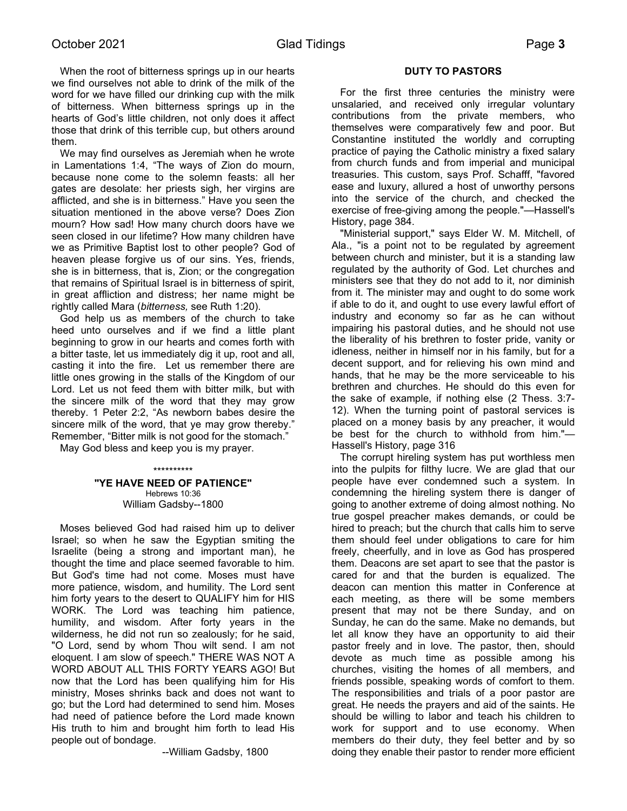When the root of bitterness springs up in our hearts we find ourselves not able to drink of the milk of the word for we have filled our drinking cup with the milk of bitterness. When bitterness springs up in the hearts of God's little children, not only does it affect those that drink of this terrible cup, but others around them.

 We may find ourselves as Jeremiah when he wrote in Lamentations 1:4, "The ways of Zion do mourn, because none come to the solemn feasts: all her gates are desolate: her priests sigh, her virgins are afflicted, and she is in bitterness." Have you seen the situation mentioned in the above verse? Does Zion mourn? How sad! How many church doors have we seen closed in our lifetime? How many children have we as Primitive Baptist lost to other people? God of heaven please forgive us of our sins. Yes, friends, she is in bitterness, that is, Zion; or the congregation that remains of Spiritual Israel is in bitterness of spirit, in great affliction and distress; her name might be rightly called Mara (*bitterness,* see Ruth 1:20).

 God help us as members of the church to take heed unto ourselves and if we find a little plant beginning to grow in our hearts and comes forth with a bitter taste, let us immediately dig it up, root and all, casting it into the fire. Let us remember there are little ones growing in the stalls of the Kingdom of our Lord. Let us not feed them with bitter milk, but with the sincere milk of the word that they may grow thereby. 1 Peter 2:2, "As newborn babes desire the sincere milk of the word, that ye may grow thereby." Remember, "Bitter milk is not good for the stomach."

May God bless and keep you is my prayer.

**"YE HAVE NEED OF PATIENCE"** Hebrews 10:36 William Gadsby--1800

\*\*\*\*\*\*\*\*\*\*

 Moses believed God had raised him up to deliver Israel; so when he saw the Egyptian smiting the Israelite (being a strong and important man), he thought the time and place seemed favorable to him. But God's time had not come. Moses must have more patience, wisdom, and humility. The Lord sent him forty years to the desert to QUALIFY him for HIS WORK. The Lord was teaching him patience, humility, and wisdom. After forty years in the wilderness, he did not run so zealously; for he said, "O Lord, send by whom Thou wilt send. I am not eloquent. I am slow of speech." THERE WAS NOT A WORD ABOUT ALL THIS FORTY YEARS AGO! But now that the Lord has been qualifying him for His ministry, Moses shrinks back and does not want to go; but the Lord had determined to send him. Moses had need of patience before the Lord made known His truth to him and brought him forth to lead His people out of bondage.

--William Gadsby, 1800

### **DUTY TO PASTORS**

 For the first three centuries the ministry were unsalaried, and received only irregular voluntary contributions from the private members, who themselves were comparatively few and poor. But Constantine instituted the worldly and corrupting practice of paying the Catholic ministry a fixed salary from church funds and from imperial and municipal treasuries. This custom, says Prof. Schafff, "favored ease and luxury, allured a host of unworthy persons into the service of the church, and checked the exercise of free-giving among the people."—Hassell's History, page 384.

 "Ministerial support," says Elder W. M. Mitchell, of Ala., "is a point not to be regulated by agreement between church and minister, but it is a standing law regulated by the authority of God. Let churches and ministers see that they do not add to it, nor diminish from it. The minister may and ought to do some work if able to do it, and ought to use every lawful effort of industry and economy so far as he can without impairing his pastoral duties, and he should not use the liberality of his brethren to foster pride, vanity or idleness, neither in himself nor in his family, but for a decent support, and for relieving his own mind and hands, that he may be the more serviceable to his brethren and churches. He should do this even for the sake of example, if nothing else (2 Thess. 3:7- 12). When the turning point of pastoral services is placed on a money basis by any preacher, it would be best for the church to withhold from him."— Hassell's History, page 316

 The corrupt hireling system has put worthless men into the pulpits for filthy lucre. We are glad that our people have ever condemned such a system. In condemning the hireling system there is danger of going to another extreme of doing almost nothing. No true gospel preacher makes demands, or could be hired to preach; but the church that calls him to serve them should feel under obligations to care for him freely, cheerfully, and in love as God has prospered them. Deacons are set apart to see that the pastor is cared for and that the burden is equalized. The deacon can mention this matter in Conference at each meeting, as there will be some members present that may not be there Sunday, and on Sunday, he can do the same. Make no demands, but let all know they have an opportunity to aid their pastor freely and in love. The pastor, then, should devote as much time as possible among his churches, visiting the homes of all members, and friends possible, speaking words of comfort to them. The responsibilities and trials of a poor pastor are great. He needs the prayers and aid of the saints. He should be willing to labor and teach his children to work for support and to use economy. When members do their duty, they feel better and by so doing they enable their pastor to render more efficient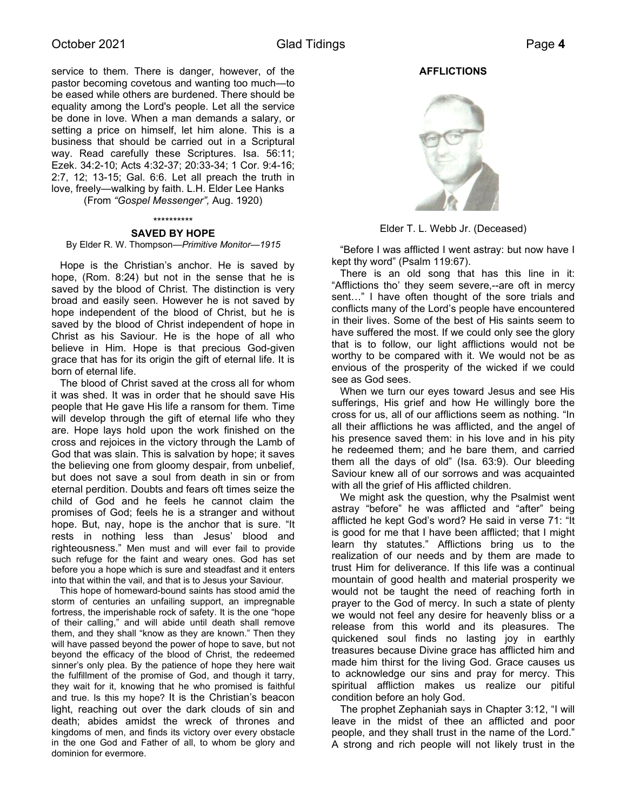service to them. There is danger, however, of the pastor becoming covetous and wanting too much—to be eased while others are burdened. There should be equality among the Lord's people. Let all the service be done in love. When a man demands a salary, or setting a price on himself, let him alone. This is a business that should be carried out in a Scriptural way. Read carefully these Scriptures. Isa. 56:11; Ezek. 34:2-10; Acts 4:32-37; 20:33-34; 1 Cor. 9:4-16; 2:7, 12; 13-15; Gal. 6:6. Let all preach the truth in love, freely—walking by faith. L.H. Elder Lee Hanks

(From *"Gospel Messenger",* Aug. 1920)

# \*\*\*\*\*\*\*\*\*\*

### **SAVED BY HOPE**

By Elder R. W. Thompson—*Primitive Monitor—1915*

Hope is the Christian's anchor. He is saved by hope, (Rom. 8:24) but not in the sense that he is saved by the blood of Christ. The distinction is very broad and easily seen. However he is not saved by hope independent of the blood of Christ, but he is saved by the blood of Christ independent of hope in Christ as his Saviour. He is the hope of all who believe in Him. Hope is that precious God-given grace that has for its origin the gift of eternal life. It is born of eternal life.

 The blood of Christ saved at the cross all for whom it was shed. It was in order that he should save His people that He gave His life a ransom for them. Time will develop through the gift of eternal life who they are. Hope lays hold upon the work finished on the cross and rejoices in the victory through the Lamb of God that was slain. This is salvation by hope; it saves the believing one from gloomy despair, from unbelief, but does not save a soul from death in sin or from eternal perdition. Doubts and fears oft times seize the child of God and he feels he cannot claim the promises of God; feels he is a stranger and without hope. But, nay, hope is the anchor that is sure. "It rests in nothing less than Jesus' blood and righteousness." Men must and will ever fail to provide such refuge for the faint and weary ones. God has set before you a hope which is sure and steadfast and it enters into that within the vail, and that is to Jesus your Saviour.

 This hope of homeward-bound saints has stood amid the storm of centuries an unfailing support, an impregnable fortress, the imperishable rock of safety. It is the one "hope of their calling," and will abide until death shall remove them, and they shall "know as they are known." Then they will have passed beyond the power of hope to save, but not beyond the efficacy of the blood of Christ, the redeemed sinner's only plea. By the patience of hope they here wait the fulfillment of the promise of God, and though it tarry, they wait for it, knowing that he who promised is faithful and true. Is this my hope? It is the Christian's beacon light, reaching out over the dark clouds of sin and death; abides amidst the wreck of thrones and kingdoms of men, and finds its victory over every obstacle in the one God and Father of all, to whom be glory and dominion for evermore.

### **AFFLICTIONS**



Elder T. L. Webb Jr. (Deceased)

 "Before I was afflicted I went astray: but now have I kept thy word" (Psalm 119:67).

 There is an old song that has this line in it: "Afflictions tho' they seem severe,--are oft in mercy sent…" I have often thought of the sore trials and conflicts many of the Lord's people have encountered in their lives. Some of the best of His saints seem to have suffered the most. If we could only see the glory that is to follow, our light afflictions would not be worthy to be compared with it. We would not be as envious of the prosperity of the wicked if we could see as God sees.

 When we turn our eyes toward Jesus and see His sufferings, His grief and how He willingly bore the cross for us, all of our afflictions seem as nothing. "In all their afflictions he was afflicted, and the angel of his presence saved them: in his love and in his pity he redeemed them; and he bare them, and carried them all the days of old" (Isa. 63:9). Our bleeding Saviour knew all of our sorrows and was acquainted with all the grief of His afflicted children.

 We might ask the question, why the Psalmist went astray "before" he was afflicted and "after" being afflicted he kept God's word? He said in verse 71: "It is good for me that I have been afflicted; that I might learn thy statutes." Afflictions bring us to the realization of our needs and by them are made to trust Him for deliverance. If this life was a continual mountain of good health and material prosperity we would not be taught the need of reaching forth in prayer to the God of mercy. In such a state of plenty we would not feel any desire for heavenly bliss or a release from this world and its pleasures. The quickened soul finds no lasting joy in earthly treasures because Divine grace has afflicted him and made him thirst for the living God. Grace causes us to acknowledge our sins and pray for mercy. This spiritual affliction makes us realize our pitiful condition before an holy God.

 The prophet Zephaniah says in Chapter 3:12, "I will leave in the midst of thee an afflicted and poor people, and they shall trust in the name of the Lord." A strong and rich people will not likely trust in the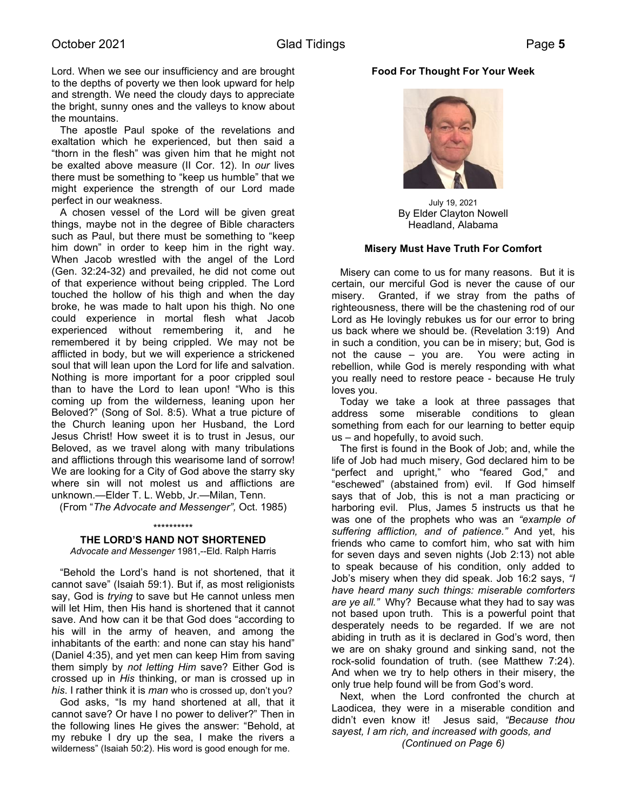Lord. When we see our insufficiency and are brought to the depths of poverty we then look upward for help and strength. We need the cloudy days to appreciate the bright, sunny ones and the valleys to know about the mountains.

 The apostle Paul spoke of the revelations and exaltation which he experienced, but then said a "thorn in the flesh" was given him that he might not be exalted above measure (II Cor. 12). In *our* lives there must be something to "keep us humble" that we might experience the strength of our Lord made perfect in our weakness.

 A chosen vessel of the Lord will be given great things, maybe not in the degree of Bible characters such as Paul, but there must be something to "keep him down" in order to keep him in the right way. When Jacob wrestled with the angel of the Lord (Gen. 32:24-32) and prevailed, he did not come out of that experience without being crippled. The Lord touched the hollow of his thigh and when the day broke, he was made to halt upon his thigh. No one could experience in mortal flesh what Jacob experienced without remembering it, and he remembered it by being crippled. We may not be afflicted in body, but we will experience a strickened soul that will lean upon the Lord for life and salvation. Nothing is more important for a poor crippled soul than to have the Lord to lean upon! "Who is this coming up from the wilderness, leaning upon her Beloved?" (Song of Sol. 8:5). What a true picture of the Church leaning upon her Husband, the Lord Jesus Christ! How sweet it is to trust in Jesus, our Beloved, as we travel along with many tribulations and afflictions through this wearisome land of sorrow! We are looking for a City of God above the starry sky where sin will not molest us and afflictions are unknown.—Elder T. L. Webb, Jr.—Milan, Tenn.

(From "*The Advocate and Messenger",* Oct. 1985)

### \*\*\*\*\*\*\*\*\*\*

# **THE LORD'S HAND NOT SHORTENED**

*Advocate and Messenger* 1981,--Eld. Ralph Harris

 "Behold the Lord's hand is not shortened, that it cannot save" (Isaiah 59:1). But if, as most religionists say, God is *trying* to save but He cannot unless men will let Him, then His hand is shortened that it cannot save. And how can it be that God does "according to his will in the army of heaven, and among the inhabitants of the earth: and none can stay his hand" (Daniel 4:35), and yet men can keep Him from saving them simply by *not letting Him* save? Either God is crossed up in *His* thinking, or man is crossed up in *his*. I rather think it is *man* who is crossed up, don't you?

 God asks, "Is my hand shortened at all, that it cannot save? Or have I no power to deliver?" Then in the following lines He gives the answer: "Behold, at my rebuke I dry up the sea, I make the rivers a wilderness" (Isaiah 50:2). His word is good enough for me.

# **Food For Thought For Your Week**



July 19, 2021 By Elder Clayton Nowell Headland, Alabama

# **Misery Must Have Truth For Comfort**

 Misery can come to us for many reasons. But it is certain, our merciful God is never the cause of our misery. Granted, if we stray from the paths of righteousness, there will be the chastening rod of our Lord as He lovingly rebukes us for our error to bring us back where we should be. (Revelation 3:19) And in such a condition, you can be in misery; but, God is not the cause – you are. You were acting in rebellion, while God is merely responding with what you really need to restore peace - because He truly loves you.

 Today we take a look at three passages that address some miserable conditions to glean something from each for our learning to better equip us – and hopefully, to avoid such.

 The first is found in the Book of Job; and, while the life of Job had much misery, God declared him to be "perfect and upright," who "feared God," and "eschewed" (abstained from) evil. If God himself says that of Job, this is not a man practicing or harboring evil. Plus, James 5 instructs us that he was one of the prophets who was an *"example of suffering affliction, and of patience."* And yet, his friends who came to comfort him, who sat with him for seven days and seven nights (Job 2:13) not able to speak because of his condition, only added to Job's misery when they did speak. Job 16:2 says, *"I have heard many such things: miserable comforters are ye all."* Why? Because what they had to say was not based upon truth. This is a powerful point that desperately needs to be regarded. If we are not abiding in truth as it is declared in God's word, then we are on shaky ground and sinking sand, not the rock-solid foundation of truth. (see Matthew 7:24). And when we try to help others in their misery, the only true help found will be from God's word.

 Next, when the Lord confronted the church at Laodicea, they were in a miserable condition and didn't even know it! Jesus said, *"Because thou sayest, I am rich, and increased with goods, and (Continued on Page 6)*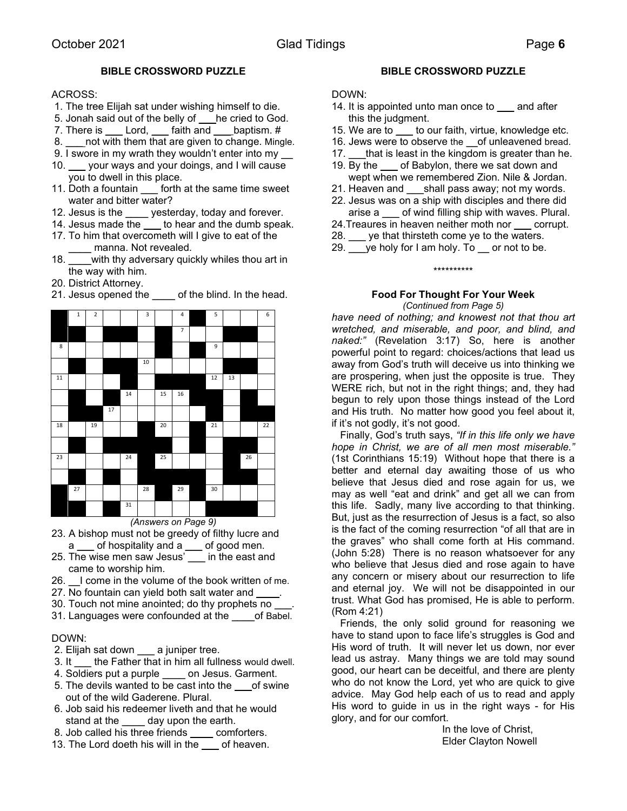# **BIBLE CROSSWORD PUZZLE**

# ACROSS:

- 1. The tree Elijah sat under wishing himself to die.
- 5. Jonah said out of the belly of \_\_\_he cried to God.
- 7. There is \_\_\_\_ Lord, \_\_\_\_ faith and \_\_\_\_ baptism. #
- 8. Let not with them that are given to change. Mingle.
- 9. I swore in my wrath they wouldn't enter into my
- 10. \_\_\_ your ways and your doings, and I will cause you to dwell in this place.
- 11. Doth a fountain \_\_\_ forth at the same time sweet water and bitter water?
- 12. Jesus is the <u>same</u> yesterday, today and forever.
- 14. Jesus made the \_\_\_ to hear and the dumb speak.
- 17. To him that overcometh will I give to eat of the manna. Not revealed.
- 18. with thy adversary quickly whiles thou art in the way with him.
- 20. District Attorney.



21. Jesus opened the  $\qquad$  of the blind. In the head.

# **BIBLE CROSSWORD PUZZLE**

### DOWN:

- 14. It is appointed unto man once to said after this the judgment.
- 15. We are to \_\_\_ to our faith, virtue, knowledge etc.
- 16. Jews were to observe the \_\_of unleavened bread.
- 17. that is least in the kingdom is greater than he.
- 19. By the of Babylon, there we sat down and wept when we remembered Zion. Nile & Jordan.
- 21. Heaven and \_\_\_shall pass away; not my words.
- 22. Jesus was on a ship with disciples and there did arise a \_\_\_ of wind filling ship with waves. Plural.
- 24. Treaures in heaven neither moth nor corrupt.
- 28. ye that thirsteth come ye to the waters.
- 29.  $\mu$  ye holy for I am holy. To  $\mu$  or not to be.

### \*\*\*\*\*\*\*\*\*\*

# **Food For Thought For Your Week** *(Continued from Page 5)*

*have need of nothing; and knowest not that thou art wretched, and miserable, and poor, and blind, and naked:"* (Revelation 3:17) So, here is another powerful point to regard: choices/actions that lead us away from God's truth will deceive us into thinking we are prospering, when just the opposite is true. They WERE rich, but not in the right things; and, they had begun to rely upon those things instead of the Lord and His truth. No matter how good you feel about it, if it's not godly, it's not good.

 Finally, God's truth says, *"If in this life only we have hope in Christ, we are of all men most miserable."* (1st Corinthians 15:19) Without hope that there is a better and eternal day awaiting those of us who believe that Jesus died and rose again for us, we may as well "eat and drink" and get all we can from this life. Sadly, many live according to that thinking. But, just as the resurrection of Jesus is a fact, so also is the fact of the coming resurrection "of all that are in the graves" who shall come forth at His command. (John 5:28) There is no reason whatsoever for any who believe that Jesus died and rose again to have any concern or misery about our resurrection to life and eternal joy. We will not be disappointed in our trust. What God has promised, He is able to perform. (Rom 4:21)

 Friends, the only solid ground for reasoning we have to stand upon to face life's struggles is God and His word of truth. It will never let us down, nor ever lead us astray. Many things we are told may sound good, our heart can be deceitful, and there are plenty who do not know the Lord, yet who are quick to give advice. May God help each of us to read and apply His word to guide in us in the right ways - for His glory, and for our comfort.

> In the love of Christ, Elder Clayton Nowell

- *(Answers on Page 9)* 23. A bishop must not be greedy of filthy lucre and
- a \_\_\_ of hospitality and a \_\_\_ of good men.
- 25. The wise men saw Jesus' \_\_\_ in the east and came to worship him.
- 26. I come in the volume of the book written of me.
- 27. No fountain can yield both salt water and
- 30. Touch not mine anointed; do thy prophets no
- 31. Languages were confounded at the of Babel.

# DOWN:

- 2. Elijah sat down a juniper tree.
- 3. It \_\_\_ the Father that in him all fullness would dwell.
- 4. Soldiers put a purple \_\_\_\_ on Jesus. Garment.
- 5. The devils wanted to be cast into the  $\qquad$  of swine out of the wild Gaderene. Plural.
- 6. Job said his redeemer liveth and that he would stand at the day upon the earth.
- 8. Job called his three friends \_\_\_\_ comforters.
- 13. The Lord doeth his will in the same of heaven.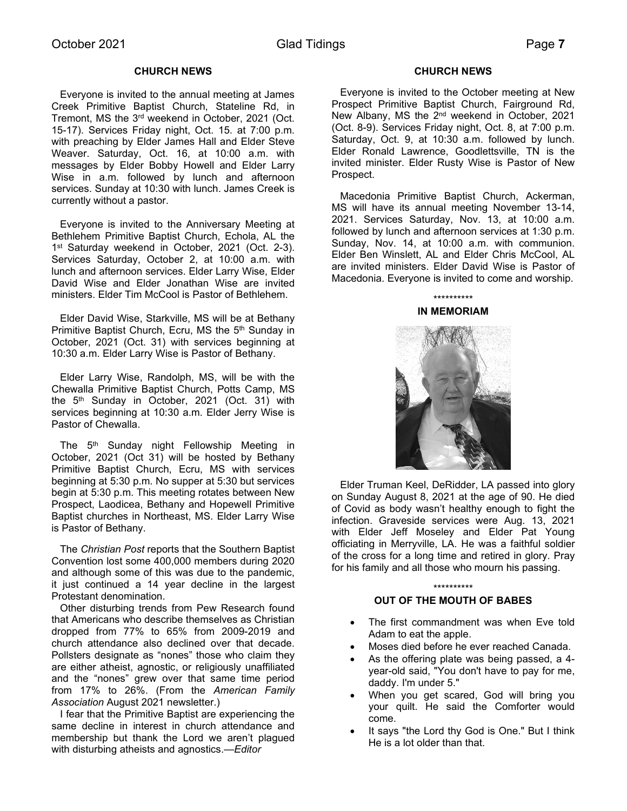# **CHURCH NEWS**

 Everyone is invited to the annual meeting at James Creek Primitive Baptist Church, Stateline Rd, in Tremont, MS the 3rd weekend in October, 2021 (Oct. 15-17). Services Friday night, Oct. 15. at 7:00 p.m. with preaching by Elder James Hall and Elder Steve Weaver. Saturday, Oct. 16, at 10:00 a.m. with messages by Elder Bobby Howell and Elder Larry Wise in a.m. followed by lunch and afternoon services. Sunday at 10:30 with lunch. James Creek is currently without a pastor.

 Everyone is invited to the Anniversary Meeting at Bethlehem Primitive Baptist Church, Echola, AL the 1<sup>st</sup> Saturday weekend in October, 2021 (Oct. 2-3). Services Saturday, October 2, at 10:00 a.m. with lunch and afternoon services. Elder Larry Wise, Elder David Wise and Elder Jonathan Wise are invited ministers. Elder Tim McCool is Pastor of Bethlehem.

 Elder David Wise, Starkville, MS will be at Bethany Primitive Baptist Church, Ecru, MS the 5<sup>th</sup> Sunday in October, 2021 (Oct. 31) with services beginning at 10:30 a.m. Elder Larry Wise is Pastor of Bethany.

 Elder Larry Wise, Randolph, MS, will be with the Chewalla Primitive Baptist Church, Potts Camp, MS the 5<sup>th</sup> Sunday in October, 2021 (Oct. 31) with services beginning at 10:30 a.m. Elder Jerry Wise is Pastor of Chewalla.

The 5<sup>th</sup> Sunday night Fellowship Meeting in October, 2021 (Oct 31) will be hosted by Bethany Primitive Baptist Church, Ecru, MS with services beginning at 5:30 p.m. No supper at 5:30 but services begin at 5:30 p.m. This meeting rotates between New Prospect, Laodicea, Bethany and Hopewell Primitive Baptist churches in Northeast, MS. Elder Larry Wise is Pastor of Bethany.

 The *Christian Post* reports that the Southern Baptist Convention lost some 400,000 members during 2020 and although some of this was due to the pandemic, it just continued a 14 year decline in the largest Protestant denomination.

 Other disturbing trends from Pew Research found that Americans who describe themselves as Christian dropped from 77% to 65% from 2009-2019 and church attendance also declined over that decade. Pollsters designate as "nones" those who claim they are either atheist, agnostic, or religiously unaffiliated and the "nones" grew over that same time period from 17% to 26%. (From the *American Family Association* August 2021 newsletter.)

 I fear that the Primitive Baptist are experiencing the same decline in interest in church attendance and membership but thank the Lord we aren't plagued with disturbing atheists and agnostics.*—Editor* 

### **CHURCH NEWS**

 Everyone is invited to the October meeting at New Prospect Primitive Baptist Church, Fairground Rd, New Albany, MS the 2<sup>nd</sup> weekend in October, 2021 (Oct. 8-9). Services Friday night, Oct. 8, at 7:00 p.m. Saturday, Oct. 9, at 10:30 a.m. followed by lunch. Elder Ronald Lawrence, Goodlettsville, TN is the invited minister. Elder Rusty Wise is Pastor of New Prospect.

 Macedonia Primitive Baptist Church, Ackerman, MS will have its annual meeting November 13-14, 2021. Services Saturday, Nov. 13, at 10:00 a.m. followed by lunch and afternoon services at 1:30 p.m. Sunday, Nov. 14, at 10:00 a.m. with communion. Elder Ben Winslett, AL and Elder Chris McCool, AL are invited ministers. Elder David Wise is Pastor of Macedonia. Everyone is invited to come and worship.

### \*\*\*\*\*\*\*\*\*\* **IN MEMORIAM**



 Elder Truman Keel, DeRidder, LA passed into glory on Sunday August 8, 2021 at the age of 90. He died of Covid as body wasn't healthy enough to fight the infection. Graveside services were Aug. 13, 2021 with Elder Jeff Moseley and Elder Pat Young officiating in Merryville, LA. He was a faithful soldier of the cross for a long time and retired in glory. Pray for his family and all those who mourn his passing.

# \*\*\*\*\*\*\*\*\*\* **OUT OF THE MOUTH OF BABES**

- The first commandment was when Eve told Adam to eat the apple.
- Moses died before he ever reached Canada.
- As the offering plate was being passed, a 4 year-old said, "You don't have to pay for me, daddy. I'm under 5."
- When you get scared, God will bring you your quilt. He said the Comforter would come.
- It says "the Lord thy God is One." But I think He is a lot older than that.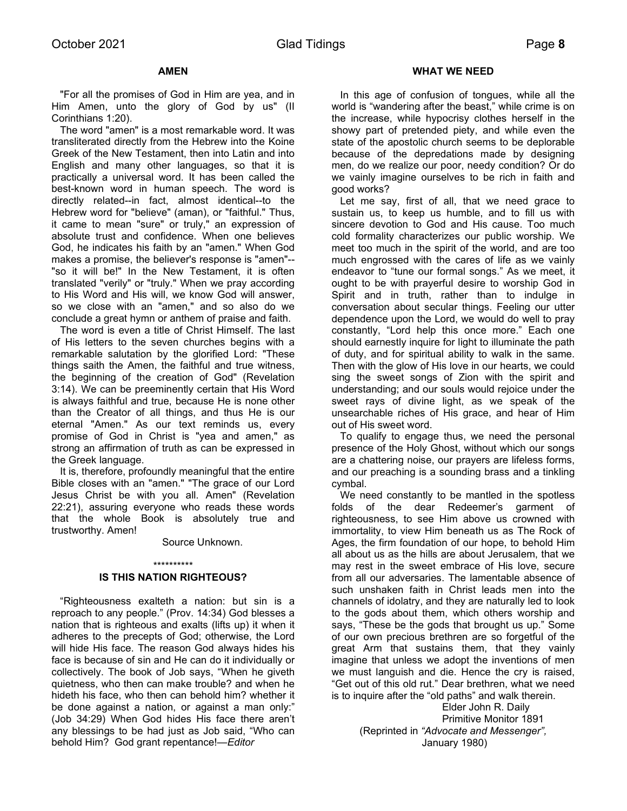# **AMEN**

 "For all the promises of God in Him are yea, and in Him Amen, unto the glory of God by us" (II Corinthians 1:20).

 The word "amen" is a most remarkable word. It was transliterated directly from the Hebrew into the Koine Greek of the New Testament, then into Latin and into English and many other languages, so that it is practically a universal word. It has been called the best-known word in human speech. The word is directly related--in fact, almost identical--to the Hebrew word for "believe" (aman), or "faithful." Thus, it came to mean "sure" or truly," an expression of absolute trust and confidence. When one believes God, he indicates his faith by an "amen." When God makes a promise, the believer's response is "amen"-- "so it will be!" In the New Testament, it is often translated "verily" or "truly." When we pray according to His Word and His will, we know God will answer, so we close with an "amen," and so also do we conclude a great hymn or anthem of praise and faith.

 The word is even a title of Christ Himself. The last of His letters to the seven churches begins with a remarkable salutation by the glorified Lord: "These things saith the Amen, the faithful and true witness, the beginning of the creation of God" (Revelation 3:14). We can be preeminently certain that His Word is always faithful and true, because He is none other than the Creator of all things, and thus He is our eternal "Amen." As our text reminds us, every promise of God in Christ is "yea and amen," as strong an affirmation of truth as can be expressed in the Greek language.

 It is, therefore, profoundly meaningful that the entire Bible closes with an "amen." "The grace of our Lord Jesus Christ be with you all. Amen" (Revelation 22:21), assuring everyone who reads these words that the whole Book is absolutely true and trustworthy. Amen!

### Source Unknown.

### \*\*\*\*\*\*\*\*\*\*

# **IS THIS NATION RIGHTEOUS?**

 "Righteousness exalteth a nation: but sin is a reproach to any people." (Prov. 14:34) God blesses a nation that is righteous and exalts (lifts up) it when it adheres to the precepts of God; otherwise, the Lord will hide His face. The reason God always hides his face is because of sin and He can do it individually or collectively. The book of Job says, "When he giveth quietness, who then can make trouble? and when he hideth his face, who then can behold him? whether it be done against a nation, or against a man only:" (Job 34:29) When God hides His face there aren't any blessings to be had just as Job said, "Who can behold Him? God grant repentance!*—Editor* 

### **WHAT WE NEED**

 In this age of confusion of tongues, while all the world is "wandering after the beast," while crime is on the increase, while hypocrisy clothes herself in the showy part of pretended piety, and while even the state of the apostolic church seems to be deplorable because of the depredations made by designing men, do we realize our poor, needy condition? Or do we vainly imagine ourselves to be rich in faith and good works?

 Let me say, first of all, that we need grace to sustain us, to keep us humble, and to fill us with sincere devotion to God and His cause. Too much cold formality characterizes our public worship. We meet too much in the spirit of the world, and are too much engrossed with the cares of life as we vainly endeavor to "tune our formal songs." As we meet, it ought to be with prayerful desire to worship God in Spirit and in truth, rather than to indulge in conversation about secular things. Feeling our utter dependence upon the Lord, we would do well to pray constantly, "Lord help this once more." Each one should earnestly inquire for light to illuminate the path of duty, and for spiritual ability to walk in the same. Then with the glow of His love in our hearts, we could sing the sweet songs of Zion with the spirit and understanding; and our souls would rejoice under the sweet rays of divine light, as we speak of the unsearchable riches of His grace, and hear of Him out of His sweet word.

 To qualify to engage thus, we need the personal presence of the Holy Ghost, without which our songs are a chattering noise, our prayers are lifeless forms, and our preaching is a sounding brass and a tinkling cymbal.

 We need constantly to be mantled in the spotless folds of the dear Redeemer's garment of righteousness, to see Him above us crowned with immortality, to view Him beneath us as The Rock of Ages, the firm foundation of our hope, to behold Him all about us as the hills are about Jerusalem, that we may rest in the sweet embrace of His love, secure from all our adversaries. The lamentable absence of such unshaken faith in Christ leads men into the channels of idolatry, and they are naturally led to look to the gods about them, which others worship and says, "These be the gods that brought us up." Some of our own precious brethren are so forgetful of the great Arm that sustains them, that they vainly imagine that unless we adopt the inventions of men we must languish and die. Hence the cry is raised, "Get out of this old rut." Dear brethren, what we need is to inquire after the "old paths" and walk therein.

> Elder John R. Daily Primitive Monitor 1891 (Reprinted in *"Advocate and Messenger",* January 1980)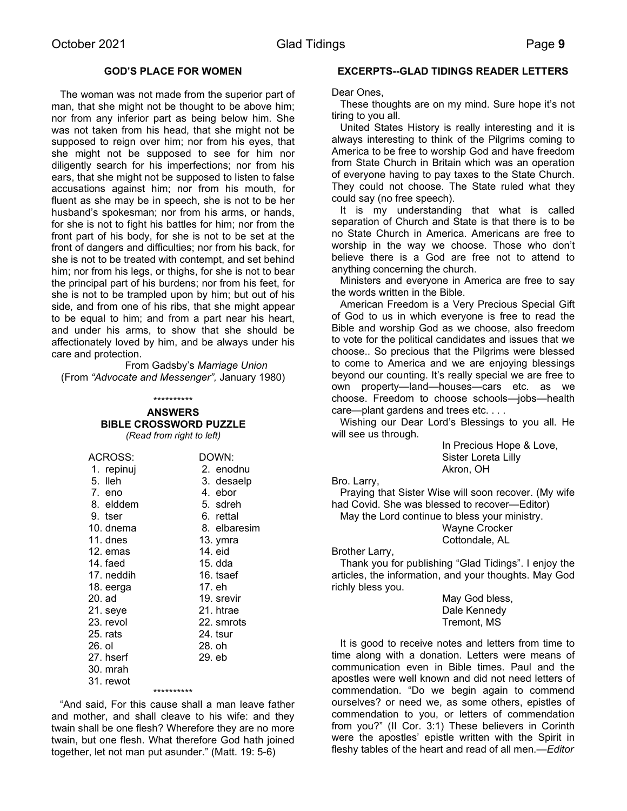# **GOD'S PLACE FOR WOMEN**

 The woman was not made from the superior part of man, that she might not be thought to be above him; nor from any inferior part as being below him. She was not taken from his head, that she might not be supposed to reign over him; nor from his eyes, that she might not be supposed to see for him nor diligently search for his imperfections; nor from his ears, that she might not be supposed to listen to false accusations against him; nor from his mouth, for fluent as she may be in speech, she is not to be her husband's spokesman; nor from his arms, or hands, for she is not to fight his battles for him; nor from the front part of his body, for she is not to be set at the front of dangers and difficulties; nor from his back, for she is not to be treated with contempt, and set behind him; nor from his legs, or thighs, for she is not to bear the principal part of his burdens; nor from his feet, for she is not to be trampled upon by him; but out of his side, and from one of his ribs, that she might appear to be equal to him; and from a part near his heart, and under his arms, to show that she should be affectionately loved by him, and be always under his care and protection.

From Gadsby's *Marriage Union* (From *"Advocate and Messenger",* January 1980)

### \*\*\*\*\*\*\*\*\*\*

### **ANSWERS BIBLE CROSSWORD PUZZLE**

*(Read from right to left)*

| ACROSS:    |            | DOWN:        |
|------------|------------|--------------|
| 1. repinuj |            | 2. enodnu    |
| 5. Ileh    |            | 3. desaelp   |
| 7. eno     |            | 4. ebor      |
| 8. elddem  |            | 5. sdreh     |
| 9. tser    |            | 6. rettal    |
| 10. dnema  |            | 8. elbaresim |
| 11. dnes   |            | 13. ymra     |
| 12. emas   |            | 14. eid      |
| 14. faed   |            | 15. dda      |
| 17. neddih |            | 16. tsaef    |
| 18. eerga  |            | 17. eh       |
| 20. ad     |            | 19. srevir   |
| 21. seye   |            | 21. htrae    |
| 23. revol  |            | 22. smrots   |
| 25. rats   |            | 24. tsur     |
| 26. ol     |            | 28. oh       |
| 27. hserf  |            | 29. eb       |
| 30. mrah   |            |              |
| 31. rewot  |            |              |
|            | ********** |              |

 "And said, For this cause shall a man leave father and mother, and shall cleave to his wife: and they twain shall be one flesh? Wherefore they are no more twain, but one flesh. What therefore God hath joined together, let not man put asunder." (Matt. 19: 5-6)

### **EXCERPTS--GLAD TIDINGS READER LETTERS**

Dear Ones,

 These thoughts are on my mind. Sure hope it's not tiring to you all.

 United States History is really interesting and it is always interesting to think of the Pilgrims coming to America to be free to worship God and have freedom from State Church in Britain which was an operation of everyone having to pay taxes to the State Church. They could not choose. The State ruled what they could say (no free speech).

 It is my understanding that what is called separation of Church and State is that there is to be no State Church in America. Americans are free to worship in the way we choose. Those who don't believe there is a God are free not to attend to anything concerning the church.

 Ministers and everyone in America are free to say the words written in the Bible.

 American Freedom is a Very Precious Special Gift of God to us in which everyone is free to read the Bible and worship God as we choose, also freedom to vote for the political candidates and issues that we choose.. So precious that the Pilgrims were blessed to come to America and we are enjoying blessings beyond our counting. It's really special we are free to own property—land—houses—cars etc. as we choose. Freedom to choose schools—jobs—health care—plant gardens and trees etc. . . .

 Wishing our Dear Lord's Blessings to you all. He will see us through.

> In Precious Hope & Love, Sister Loreta Lilly Akron, OH

Bro. Larry,

 Praying that Sister Wise will soon recover. (My wife had Covid. She was blessed to recover—Editor)

 May the Lord continue to bless your ministry. Wayne Crocker Cottondale, AL

Brother Larry,

 Thank you for publishing "Glad Tidings". I enjoy the articles, the information, and your thoughts. May God richly bless you.

> May God bless, Dale Kennedy Tremont, MS

 It is good to receive notes and letters from time to time along with a donation. Letters were means of communication even in Bible times. Paul and the apostles were well known and did not need letters of commendation. "Do we begin again to commend ourselves? or need we, as some others, epistles of commendation to you, or letters of commendation from you?" (II Cor. 3:1) These believers in Corinth were the apostles' epistle written with the Spirit in fleshy tables of the heart and read of all men.*—Editor*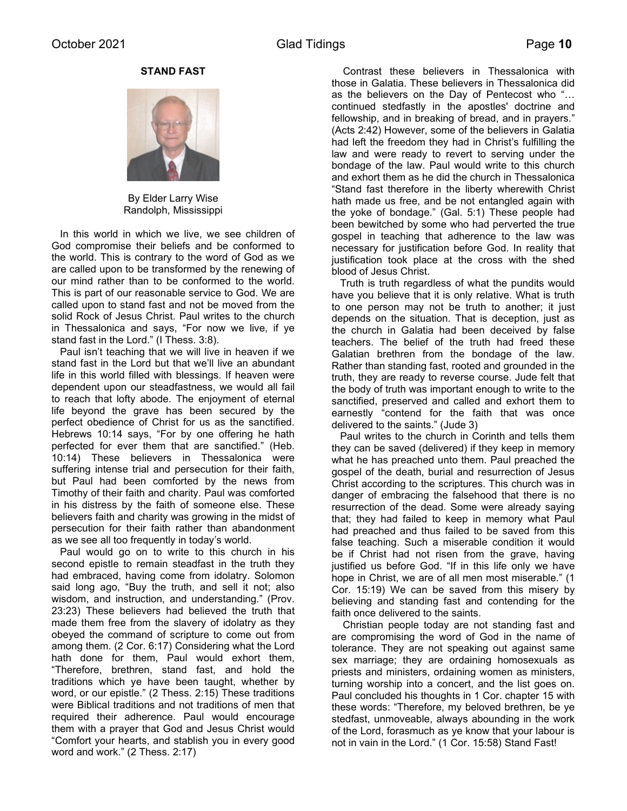**STAND FAST**



By Elder Larry Wise Randolph, Mississippi

 In this world in which we live, we see children of God compromise their beliefs and be conformed to the world. This is contrary to the word of God as we are called upon to be transformed by the renewing of our mind rather than to be conformed to the world. This is part of our reasonable service to God. We are called upon to stand fast and not be moved from the solid Rock of Jesus Christ. Paul writes to the church in Thessalonica and says, "For now we live, if ye stand fast in the Lord." (I Thess. 3:8).

 Paul isn't teaching that we will live in heaven if we stand fast in the Lord but that we'll live an abundant life in this world filled with blessings. If heaven were dependent upon our steadfastness, we would all fail to reach that lofty abode. The enjoyment of eternal life beyond the grave has been secured by the perfect obedience of Christ for us as the sanctified. Hebrews 10:14 says, "For by one offering he hath perfected for ever them that are sanctified." (Heb. 10:14) These believers in Thessalonica were suffering intense trial and persecution for their faith, but Paul had been comforted by the news from Timothy of their faith and charity. Paul was comforted in his distress by the faith of someone else. These believers faith and charity was growing in the midst of persecution for their faith rather than abandonment as we see all too frequently in today's world.

 Paul would go on to write to this church in his second epistle to remain steadfast in the truth they had embraced, having come from idolatry. Solomon said long ago, "Buy the truth, and sell it not; also wisdom, and instruction, and understanding." (Prov. 23:23) These believers had believed the truth that made them free from the slavery of idolatry as they obeyed the command of scripture to come out from among them. (2 Cor. 6:17) Considering what the Lord hath done for them, Paul would exhort them, "Therefore, brethren, stand fast, and hold the traditions which ye have been taught, whether by word, or our epistle." (2 Thess. 2:15) These traditions were Biblical traditions and not traditions of men that required their adherence. Paul would encourage them with a prayer that God and Jesus Christ would "Comfort your hearts, and stablish you in every good word and work." (2 Thess. 2:17)

 Contrast these believers in Thessalonica with those in Galatia. These believers in Thessalonica did as the believers on the Day of Pentecost who "… continued stedfastly in the apostles' doctrine and fellowship, and in breaking of bread, and in prayers." (Acts 2:42) However, some of the believers in Galatia had left the freedom they had in Christ's fulfilling the law and were ready to revert to serving under the bondage of the law. Paul would write to this church and exhort them as he did the church in Thessalonica "Stand fast therefore in the liberty wherewith Christ hath made us free, and be not entangled again with the yoke of bondage." (Gal. 5:1) These people had been bewitched by some who had perverted the true gospel in teaching that adherence to the law was necessary for justification before God. In reality that justification took place at the cross with the shed blood of Jesus Christ.

 Truth is truth regardless of what the pundits would have you believe that it is only relative. What is truth to one person may not be truth to another; it just depends on the situation. That is deception, just as the church in Galatia had been deceived by false teachers. The belief of the truth had freed these Galatian brethren from the bondage of the law. Rather than standing fast, rooted and grounded in the truth, they are ready to reverse course. Jude felt that the body of truth was important enough to write to the sanctified, preserved and called and exhort them to earnestly "contend for the faith that was once delivered to the saints." (Jude 3)

 Paul writes to the church in Corinth and tells them they can be saved (delivered) if they keep in memory what he has preached unto them. Paul preached the gospel of the death, burial and resurrection of Jesus Christ according to the scriptures. This church was in danger of embracing the falsehood that there is no resurrection of the dead. Some were already saying that; they had failed to keep in memory what Paul had preached and thus failed to be saved from this false teaching. Such a miserable condition it would be if Christ had not risen from the grave, having justified us before God. "If in this life only we have hope in Christ, we are of all men most miserable." (1 Cor. 15:19) We can be saved from this misery by believing and standing fast and contending for the faith once delivered to the saints.

 Christian people today are not standing fast and are compromising the word of God in the name of tolerance. They are not speaking out against same sex marriage; they are ordaining homosexuals as priests and ministers, ordaining women as ministers, turning worship into a concert, and the list goes on. Paul concluded his thoughts in 1 Cor. chapter 15 with these words: "Therefore, my beloved brethren, be ye stedfast, unmoveable, always abounding in the work of the Lord, forasmuch as ye know that your labour is not in vain in the Lord." (1 Cor. 15:58) Stand Fast!